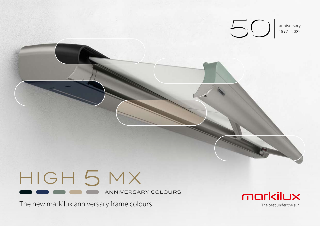

# HIGH 5 MX

ANNIVERSARY COLOURS

The new markilux anniversary frame colours

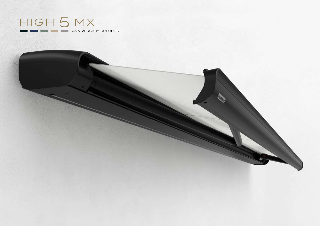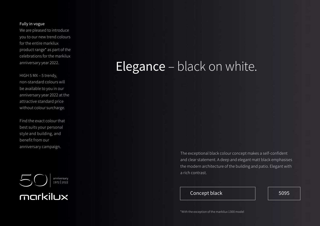#### Fully in vogue

We are pleased to introduce you to our new trend colours for the entire markilux product range\* as part of the celebrations for the markilux anniversary year 2022.

HIGH 5 MX – 5 trendy, non-standard colours will be available to you in our anniversary year 2022 at the attractive standard price without colour surcharge.

Find the exact colour that best suits your personal style and building, and benefit from our anniversary campaign.



#### **Elegance** – black on white.

The exceptional black colour concept makes a self-confident and clear statement. A deep and elegant matt black emphasises the modern architecture of the building and patio. Elegant with a rich contrast.

#### Concept black  $\vert$  | 5095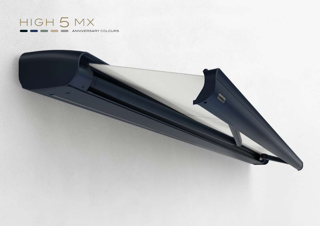

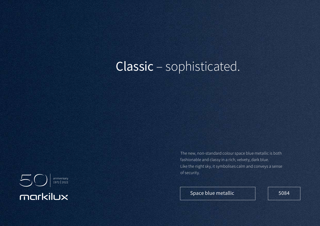### Classic – sophisticated.



The new, non-standard colour space blue metallic is both fashionable and classy in a rich, velvety, dark blue. Like the night sky, it symbolises calm and conveys a sense of security.

Space blue metallic  $\vert$  | 5084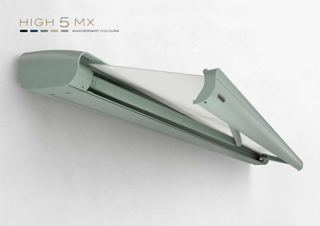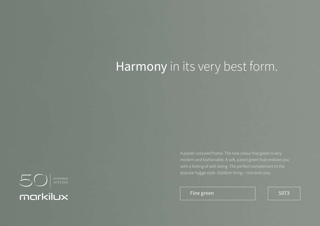### Harmony in its very best form.

 $\bigcirc$   $\bigcirc$   $\bigcirc$   $\bigcirc$  anniversary markilux

Fine green and  $\vert$  5073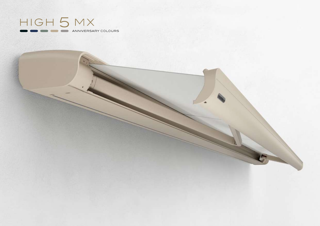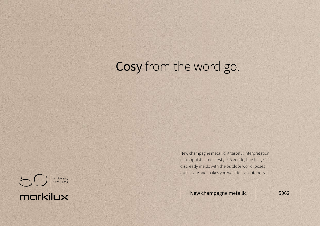## Cosy from the word go.



New champagne metallic. A tasteful interpretation of a sophisticated lifestyle. A gentle, fine beige discreetly melds with the outdoor world, oozes exclusivity and makes you want to live outdoors.

New champagne metallic | 5062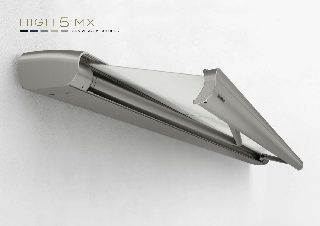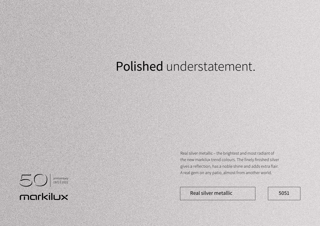### Polished understatement.



Real silver metallic – the brightest and most radiant of the new markilux trend colours. The finely finished silver gives a reflection, has a noble shine and adds extra flair. A real gem on any patio, almost from another world.

Real silver metallic **1990** Solution 1